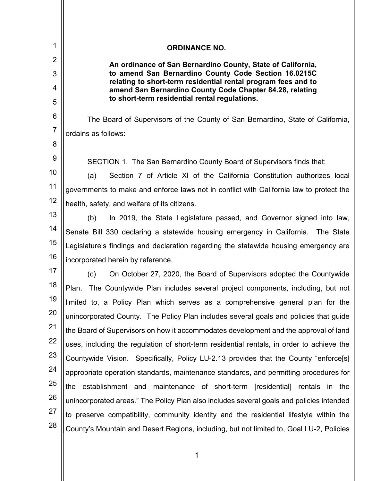| 1              | <b>ORDINANCE NO.</b>                                                                                                  |  |  |  |  |  |  |  |
|----------------|-----------------------------------------------------------------------------------------------------------------------|--|--|--|--|--|--|--|
| 2              | An ordinance of San Bernardino County, State of California,                                                           |  |  |  |  |  |  |  |
| 3              | to amend San Bernardino County Code Section 16.0215C<br>relating to short-term residential rental program fees and to |  |  |  |  |  |  |  |
| 4              | amend San Bernardino County Code Chapter 84.28, relating<br>to short-term residential rental regulations.             |  |  |  |  |  |  |  |
| 5<br>6         |                                                                                                                       |  |  |  |  |  |  |  |
| $\overline{7}$ | The Board of Supervisors of the County of San Bernardino, State of California,                                        |  |  |  |  |  |  |  |
| 8              | ordains as follows:                                                                                                   |  |  |  |  |  |  |  |
| 9              |                                                                                                                       |  |  |  |  |  |  |  |
| 10             | SECTION 1. The San Bernardino County Board of Supervisors finds that:                                                 |  |  |  |  |  |  |  |
| 11             | Section 7 of Article XI of the California Constitution authorizes local<br>(a)                                        |  |  |  |  |  |  |  |
| 12             | governments to make and enforce laws not in conflict with California law to protect the                               |  |  |  |  |  |  |  |
| 13             | health, safety, and welfare of its citizens.                                                                          |  |  |  |  |  |  |  |
|                | In 2019, the State Legislature passed, and Governor signed into law,<br>(b)                                           |  |  |  |  |  |  |  |
| 14             | Senate Bill 330 declaring a statewide housing emergency in California. The State                                      |  |  |  |  |  |  |  |
| 15             | Legislature's findings and declaration regarding the statewide housing emergency are                                  |  |  |  |  |  |  |  |
| 16             | incorporated herein by reference.                                                                                     |  |  |  |  |  |  |  |
| 17             | On October 27, 2020, the Board of Supervisors adopted the Countywide<br>(c)                                           |  |  |  |  |  |  |  |
| 18             | The Countywide Plan includes several project components, including, but not<br>Plan.                                  |  |  |  |  |  |  |  |
| 19             | limited to, a Policy Plan which serves as a comprehensive general plan for the                                        |  |  |  |  |  |  |  |
| 20             | unincorporated County. The Policy Plan includes several goals and policies that guide                                 |  |  |  |  |  |  |  |
| 21             | the Board of Supervisors on how it accommodates development and the approval of land                                  |  |  |  |  |  |  |  |
| 22             | uses, including the regulation of short-term residential rentals, in order to achieve the                             |  |  |  |  |  |  |  |
| 23             | Countywide Vision. Specifically, Policy LU-2.13 provides that the County "enforce[s]                                  |  |  |  |  |  |  |  |
| 24             | appropriate operation standards, maintenance standards, and permitting procedures for                                 |  |  |  |  |  |  |  |
| 25             | the establishment and maintenance of short-term [residential] rentals in the                                          |  |  |  |  |  |  |  |
| 26             | unincorporated areas." The Policy Plan also includes several goals and policies intended                              |  |  |  |  |  |  |  |
| 27             | to preserve compatibility, community identity and the residential lifestyle within the                                |  |  |  |  |  |  |  |
| 28             | County's Mountain and Desert Regions, including, but not limited to, Goal LU-2, Policies                              |  |  |  |  |  |  |  |

 $\mathop{\parallel}$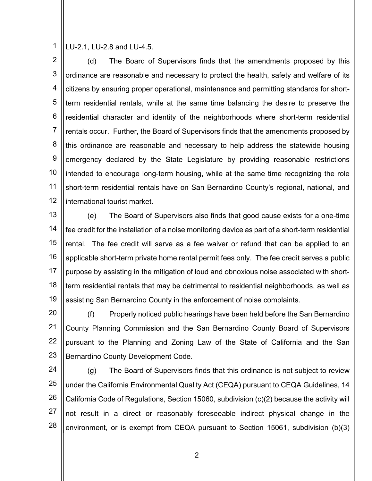1 LU-2.1, LU-2.8 and LU-4.5.

2 3 4 5 6 7 8 9 10 11 12 (d) The Board of Supervisors finds that the amendments proposed by this ordinance are reasonable and necessary to protect the health, safety and welfare of its citizens by ensuring proper operational, maintenance and permitting standards for shortterm residential rentals, while at the same time balancing the desire to preserve the residential character and identity of the neighborhoods where short-term residential rentals occur. Further, the Board of Supervisors finds that the amendments proposed by this ordinance are reasonable and necessary to help address the statewide housing emergency declared by the State Legislature by providing reasonable restrictions intended to encourage long-term housing, while at the same time recognizing the role short-term residential rentals have on San Bernardino County's regional, national, and international tourist market.

13 14 15 16 17 18 19 (e) The Board of Supervisors also finds that good cause exists for a one-time fee credit for the installation of a noise monitoring device as part of a short-term residential rental. The fee credit will serve as a fee waiver or refund that can be applied to an applicable short-term private home rental permit fees only. The fee credit serves a public purpose by assisting in the mitigation of loud and obnoxious noise associated with shortterm residential rentals that may be detrimental to residential neighborhoods, as well as assisting San Bernardino County in the enforcement of noise complaints.

20 21 22 23 (f) Properly noticed public hearings have been held before the San Bernardino County Planning Commission and the San Bernardino County Board of Supervisors pursuant to the Planning and Zoning Law of the State of California and the San Bernardino County Development Code.

24 25 26 27 28 (g) The Board of Supervisors finds that this ordinance is not subject to review under the California Environmental Quality Act (CEQA) pursuant to CEQA Guidelines, 14 California Code of Regulations, Section 15060, subdivision (c)(2) because the activity will not result in a direct or reasonably foreseeable indirect physical change in the environment, or is exempt from CEQA pursuant to Section 15061, subdivision (b)(3)

 $\begin{array}{|c|c|c|c|c|c|c|c|c|}\hline \hspace{1.5cm}&\hspace{1.5cm} &\hspace{1.5cm} &\hspace{1.5cm} &\hspace{1.5cm} &\hspace{1.5cm} &\hspace{1.5cm} &\hspace{1.5cm} &\hspace{1.5cm} &\hspace{1.5cm} &\hspace{1.5cm} &\hspace{1.5cm} &\hspace{1.5cm} &\hspace{1.5cm} &\hspace{1.5cm} &\hspace{1.5cm} &\hspace{1.5cm} &\hspace{1.5cm} &\hspace{1.5cm} &\hspace{$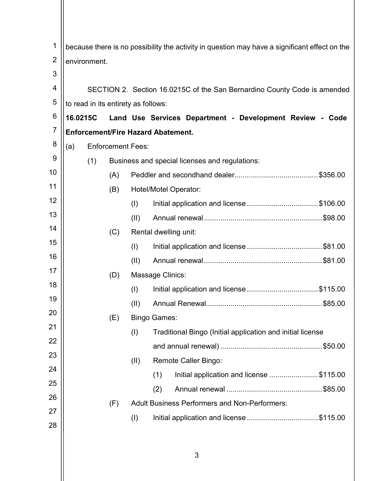| 1              | because there is no possibility the activity in question may have a significant effect on the |     |                          |                                                      |                                                                          |  |  |
|----------------|-----------------------------------------------------------------------------------------------|-----|--------------------------|------------------------------------------------------|--------------------------------------------------------------------------|--|--|
| $\overline{2}$ | environment.                                                                                  |     |                          |                                                      |                                                                          |  |  |
| 3              |                                                                                               |     |                          |                                                      |                                                                          |  |  |
| 4              |                                                                                               |     |                          |                                                      | SECTION 2. Section 16.0215C of the San Bernardino County Code is amended |  |  |
| 5              | to read in its entirety as follows:                                                           |     |                          |                                                      |                                                                          |  |  |
| 6              | 16.0215C                                                                                      |     |                          |                                                      | Land Use Services Department - Development Review - Code                 |  |  |
| $\overline{7}$ | <b>Enforcement/Fire Hazard Abatement.</b>                                                     |     |                          |                                                      |                                                                          |  |  |
| 8              | (a)                                                                                           |     | <b>Enforcement Fees:</b> |                                                      |                                                                          |  |  |
| 9              |                                                                                               | (1) |                          |                                                      | Business and special licenses and regulations:                           |  |  |
| 10             |                                                                                               |     | (A)                      |                                                      |                                                                          |  |  |
| 11             |                                                                                               |     | (B)                      |                                                      | <b>Hotel/Motel Operator:</b>                                             |  |  |
| 12             |                                                                                               |     |                          | (I)                                                  | Initial application and license \$106.00                                 |  |  |
| 13             |                                                                                               |     |                          | (11)                                                 |                                                                          |  |  |
| 14             |                                                                                               |     | (C)                      |                                                      | Rental dwelling unit:                                                    |  |  |
| 15             |                                                                                               |     |                          | (1)                                                  |                                                                          |  |  |
| 16             |                                                                                               |     |                          | (11)                                                 |                                                                          |  |  |
| 17             |                                                                                               |     | (D)                      |                                                      | Massage Clinics:                                                         |  |  |
| 18             |                                                                                               |     |                          | (1)                                                  | Initial application and license \$115.00                                 |  |  |
| 19             |                                                                                               |     |                          | (II)                                                 |                                                                          |  |  |
| 20             |                                                                                               |     | (E)                      |                                                      | <b>Bingo Games:</b>                                                      |  |  |
| 21             |                                                                                               |     |                          | (1)                                                  | Traditional Bingo (Initial application and initial license               |  |  |
| 22             |                                                                                               |     |                          |                                                      |                                                                          |  |  |
| 23<br>24       |                                                                                               |     |                          | (II)                                                 | <b>Remote Caller Bingo:</b>                                              |  |  |
| 25             |                                                                                               |     |                          |                                                      | (1)<br>Initial application and license \$115.00                          |  |  |
| 26             |                                                                                               |     |                          |                                                      | (2)                                                                      |  |  |
| 27             |                                                                                               |     | (F)                      | <b>Adult Business Performers and Non-Performers:</b> |                                                                          |  |  |
| 28             |                                                                                               |     |                          | (I)                                                  | Initial application and license \$115.00                                 |  |  |
|                |                                                                                               |     |                          |                                                      |                                                                          |  |  |
|                |                                                                                               |     |                          |                                                      |                                                                          |  |  |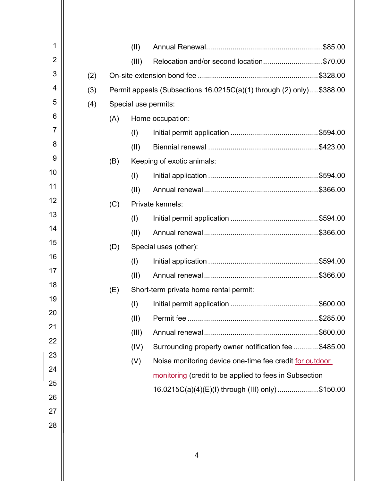| 1              |     |                                                                        | (II)  |                                                         |  |
|----------------|-----|------------------------------------------------------------------------|-------|---------------------------------------------------------|--|
| $\overline{2}$ |     |                                                                        | (III) | Relocation and/or second location\$70.00                |  |
| 3              | (2) |                                                                        |       |                                                         |  |
| 4              | (3) | Permit appeals (Subsections 16.0215C(a)(1) through (2) only)  \$388.00 |       |                                                         |  |
| 5              | (4) | Special use permits:                                                   |       |                                                         |  |
| 6              |     | (A)                                                                    |       | Home occupation:                                        |  |
| 7              |     |                                                                        | (1)   |                                                         |  |
| 8              |     |                                                                        | (II)  |                                                         |  |
| 9              |     | (B)                                                                    |       | Keeping of exotic animals:                              |  |
| 10             |     |                                                                        | (1)   |                                                         |  |
| 11             |     |                                                                        | (II)  |                                                         |  |
| 12             |     | (C)                                                                    |       | Private kennels:                                        |  |
| 13             |     |                                                                        | (1)   |                                                         |  |
| 14             |     |                                                                        | (II)  |                                                         |  |
| 15             |     | (D)                                                                    |       | Special uses (other):                                   |  |
| 16             |     |                                                                        | (I)   |                                                         |  |
| 17             |     |                                                                        | (II)  |                                                         |  |
| 18             |     | (E)                                                                    |       | Short-term private home rental permit:                  |  |
| 19             |     |                                                                        | (1)   |                                                         |  |
| 20             |     |                                                                        | (II)  |                                                         |  |
| 21             |     |                                                                        | (III) |                                                         |  |
| 22             |     |                                                                        | (IV)  | Surrounding property owner notification fee \$485.00    |  |
| 23             |     |                                                                        | (V)   | Noise monitoring device one-time fee credit for outdoor |  |
| 24             |     |                                                                        |       | monitoring (credit to be applied to fees in Subsection  |  |
| 25             |     |                                                                        |       | 16.0215C(a)(4)(E)(I) through (III) only) \$150.00       |  |
| 26             |     |                                                                        |       |                                                         |  |
| 27             |     |                                                                        |       |                                                         |  |
| 28             |     |                                                                        |       |                                                         |  |
|                |     |                                                                        |       |                                                         |  |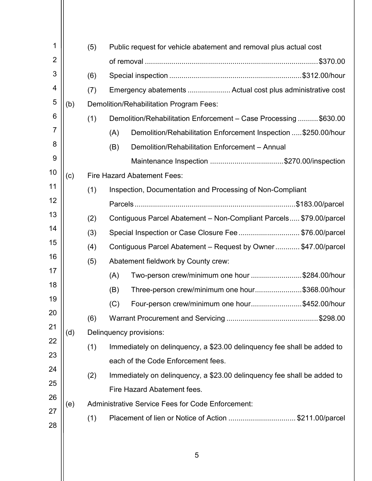| 1              |     | (5) | Public request for vehicle abatement and removal plus actual cost       |  |  |  |  |  |
|----------------|-----|-----|-------------------------------------------------------------------------|--|--|--|--|--|
| $\overline{2}$ |     |     |                                                                         |  |  |  |  |  |
| 3              |     | (6) |                                                                         |  |  |  |  |  |
| 4              |     | (7) | Emergency abatements  Actual cost plus administrative cost              |  |  |  |  |  |
| 5              | (b) |     | Demolition/Rehabilitation Program Fees:                                 |  |  |  |  |  |
| 6              |     | (1) | Demolition/Rehabilitation Enforcement - Case Processing  \$630.00       |  |  |  |  |  |
| 7              |     |     | Demolition/Rehabilitation Enforcement Inspection  \$250.00/hour<br>(A)  |  |  |  |  |  |
| 8              |     |     | Demolition/Rehabilitation Enforcement - Annual<br>(B)                   |  |  |  |  |  |
| 9              |     |     | Maintenance Inspection \$270.00/inspection                              |  |  |  |  |  |
| 10             | (c) |     | <b>Fire Hazard Abatement Fees:</b>                                      |  |  |  |  |  |
| 11             |     | (1) | Inspection, Documentation and Processing of Non-Compliant               |  |  |  |  |  |
| 12             |     |     |                                                                         |  |  |  |  |  |
| 13             |     | (2) | Contiguous Parcel Abatement - Non-Compliant Parcels \$79.00/parcel      |  |  |  |  |  |
| 14             |     | (3) | Special Inspection or Case Closure Fee \$76.00/parcel                   |  |  |  |  |  |
| 15             |     | (4) | Contiguous Parcel Abatement - Request by Owner \$47.00/parcel           |  |  |  |  |  |
| 16             |     | (5) | Abatement fieldwork by County crew:                                     |  |  |  |  |  |
| 17             |     |     | Two-person crew/minimum one hour \$284.00/hour<br>(A)                   |  |  |  |  |  |
| 18             |     |     | Three-person crew/minimum one hour\$368.00/hour<br>(B)                  |  |  |  |  |  |
| 19             |     |     | (C)<br>Four-person crew/minimum one hour\$452.00/hour                   |  |  |  |  |  |
| 20             |     | (6) |                                                                         |  |  |  |  |  |
| 21             | (d) |     | Delinquency provisions:                                                 |  |  |  |  |  |
| 22             |     | (1) | Immediately on delinguency, a \$23.00 delinguency fee shall be added to |  |  |  |  |  |
| 23             |     |     | each of the Code Enforcement fees.                                      |  |  |  |  |  |
| 24             |     | (2) | Immediately on delinquency, a \$23.00 delinquency fee shall be added to |  |  |  |  |  |
| 25             |     |     | Fire Hazard Abatement fees.                                             |  |  |  |  |  |
| 26             | (e) |     | <b>Administrative Service Fees for Code Enforcement:</b>                |  |  |  |  |  |
| 27<br>28       |     | (1) | Placement of lien or Notice of Action \$211.00/parcel                   |  |  |  |  |  |
|                |     |     |                                                                         |  |  |  |  |  |
|                |     |     |                                                                         |  |  |  |  |  |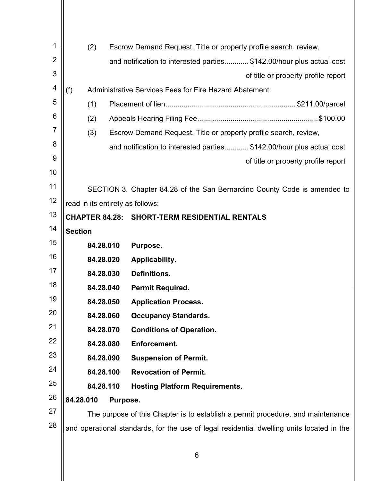| (2)            | Escrow Demand Request, Title or property profile search, review,                                                                                                                                                              |
|----------------|-------------------------------------------------------------------------------------------------------------------------------------------------------------------------------------------------------------------------------|
|                |                                                                                                                                                                                                                               |
|                | and notification to interested parties\$142.00/hour plus actual cost                                                                                                                                                          |
|                | of title or property profile report                                                                                                                                                                                           |
| (f)            | Administrative Services Fees for Fire Hazard Abatement:                                                                                                                                                                       |
|                |                                                                                                                                                                                                                               |
|                |                                                                                                                                                                                                                               |
|                | Escrow Demand Request, Title or property profile search, review,                                                                                                                                                              |
|                | and notification to interested parties \$142.00/hour plus actual cost                                                                                                                                                         |
|                | of title or property profile report                                                                                                                                                                                           |
|                |                                                                                                                                                                                                                               |
|                | SECTION 3. Chapter 84.28 of the San Bernardino County Code is amended to                                                                                                                                                      |
|                |                                                                                                                                                                                                                               |
|                | <b>CHAPTER 84.28: SHORT-TERM RESIDENTIAL RENTALS</b>                                                                                                                                                                          |
| <b>Section</b> |                                                                                                                                                                                                                               |
|                | Purpose.                                                                                                                                                                                                                      |
|                | Applicability.                                                                                                                                                                                                                |
|                | Definitions.                                                                                                                                                                                                                  |
|                | <b>Permit Required.</b>                                                                                                                                                                                                       |
|                | <b>Application Process.</b>                                                                                                                                                                                                   |
|                | <b>Occupancy Standards.</b>                                                                                                                                                                                                   |
|                | <b>Conditions of Operation.</b>                                                                                                                                                                                               |
|                | Enforcement.                                                                                                                                                                                                                  |
|                | <b>Suspension of Permit.</b>                                                                                                                                                                                                  |
|                | <b>Revocation of Permit.</b>                                                                                                                                                                                                  |
|                | <b>Hosting Platform Requirements.</b>                                                                                                                                                                                         |
|                |                                                                                                                                                                                                                               |
|                | The purpose of this Chapter is to establish a permit procedure, and maintenance                                                                                                                                               |
|                | and operational standards, for the use of legal residential dwelling units located in the                                                                                                                                     |
|                | (1)<br>(2)<br>(3)<br>read in its entirety as follows:<br>84.28.010<br>84.28.020<br>84.28.030<br>84.28.040<br>84.28.050<br>84.28.060<br>84.28.070<br>84.28.080<br>84.28.090<br>84.28.100<br>84.28.110<br>84.28.010<br>Purpose. |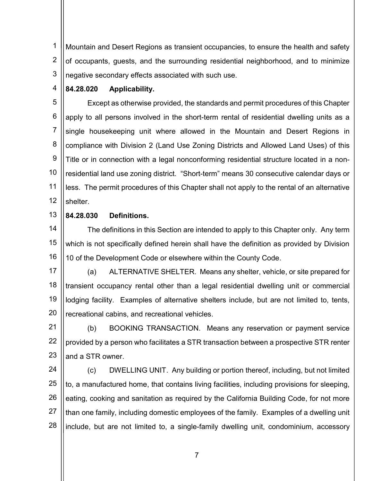1 2 3 Mountain and Desert Regions as transient occupancies, to ensure the health and safety of occupants, guests, and the surrounding residential neighborhood, and to minimize negative secondary effects associated with such use.

#### 4 84.28.020 Applicability.

5 6 7 8 9 10 11 12 Except as otherwise provided, the standards and permit procedures of this Chapter apply to all persons involved in the short-term rental of residential dwelling units as a single housekeeping unit where allowed in the Mountain and Desert Regions in compliance with Division 2 (Land Use Zoning Districts and Allowed Land Uses) of this Title or in connection with a legal nonconforming residential structure located in a nonresidential land use zoning district. "Short-term" means 30 consecutive calendar days or less. The permit procedures of this Chapter shall not apply to the rental of an alternative shelter.

## 13 84.28.030 Definitions.

14 15 16 The definitions in this Section are intended to apply to this Chapter only. Any term which is not specifically defined herein shall have the definition as provided by Division 10 of the Development Code or elsewhere within the County Code.

17 18 19 20 (a) ALTERNATIVE SHELTER. Means any shelter, vehicle, or site prepared for transient occupancy rental other than a legal residential dwelling unit or commercial lodging facility. Examples of alternative shelters include, but are not limited to, tents, recreational cabins, and recreational vehicles.

21 22 23 (b) BOOKING TRANSACTION. Means any reservation or payment service provided by a person who facilitates a STR transaction between a prospective STR renter and a STR owner.

24 25 26 27 28 (c) DWELLING UNIT. Any building or portion thereof, including, but not limited to, a manufactured home, that contains living facilities, including provisions for sleeping, eating, cooking and sanitation as required by the California Building Code, for not more than one family, including domestic employees of the family. Examples of a dwelling unit include, but are not limited to, a single-family dwelling unit, condominium, accessory

ли против против против против против против против против против против против против против против против пр<br>В 1990 году против против против против против против против против против против против против против против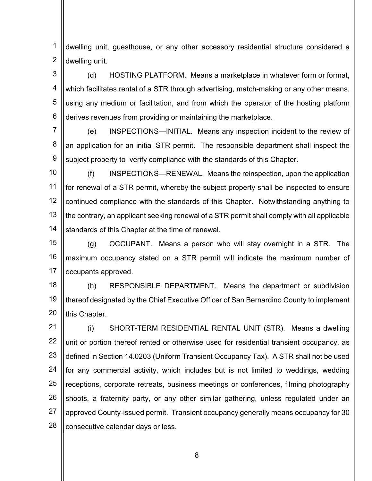1 2 dwelling unit, guesthouse, or any other accessory residential structure considered a dwelling unit.

3 4 5 6 (d) HOSTING PLATFORM. Means a marketplace in whatever form or format, which facilitates rental of a STR through advertising, match-making or any other means, using any medium or facilitation, and from which the operator of the hosting platform derives revenues from providing or maintaining the marketplace.

7 8 9 (e) INSPECTIONS—INITIAL. Means any inspection incident to the review of an application for an initial STR permit. The responsible department shall inspect the subject property to verify compliance with the standards of this Chapter.

10 11 12 13 14 (f) INSPECTIONS—RENEWAL. Means the reinspection, upon the application for renewal of a STR permit, whereby the subject property shall be inspected to ensure continued compliance with the standards of this Chapter. Notwithstanding anything to the contrary, an applicant seeking renewal of a STR permit shall comply with all applicable standards of this Chapter at the time of renewal.

15 16 17 (g) OCCUPANT. Means a person who will stay overnight in a STR. The maximum occupancy stated on a STR permit will indicate the maximum number of occupants approved.

18 19 20 (h) RESPONSIBLE DEPARTMENT. Means the department or subdivision thereof designated by the Chief Executive Officer of San Bernardino County to implement this Chapter.

21 22 23 24 25 26 27 28 (i) SHORT-TERM RESIDENTIAL RENTAL UNIT (STR). Means a dwelling unit or portion thereof rented or otherwise used for residential transient occupancy, as defined in Section 14.0203 (Uniform Transient Occupancy Tax). A STR shall not be used for any commercial activity, which includes but is not limited to weddings, wedding receptions, corporate retreats, business meetings or conferences, filming photography shoots, a fraternity party, or any other similar gathering, unless regulated under an approved County-issued permit. Transient occupancy generally means occupancy for 30 consecutive calendar days or less.

and the contract of the contract of  $\mathbf{8}$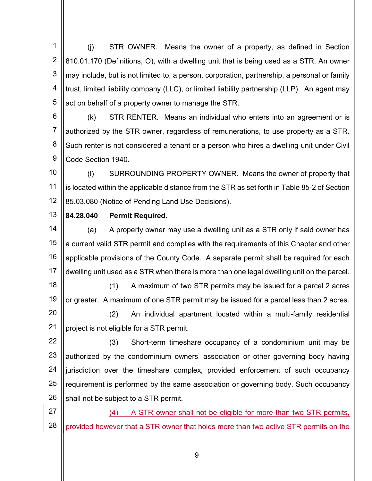1 2 3 4 5 (j) STR OWNER. Means the owner of a property, as defined in Section 810.01.170 (Definitions, O), with a dwelling unit that is being used as a STR. An owner may include, but is not limited to, a person, corporation, partnership, a personal or family trust, limited liability company (LLC), or limited liability partnership (LLP). An agent may act on behalf of a property owner to manage the STR.

6 7 8 9 (k) STR RENTER. Means an individual who enters into an agreement or is authorized by the STR owner, regardless of remunerations, to use property as a STR. Such renter is not considered a tenant or a person who hires a dwelling unit under Civil Code Section 1940.

10 11 12 (l) SURROUNDING PROPERTY OWNER. Means the owner of property that is located within the applicable distance from the STR as set forth in Table 85-2 of Section 85.03.080 (Notice of Pending Land Use Decisions).

## 13 84.28.040 Permit Required.

14 15 16 17 (a) A property owner may use a dwelling unit as a STR only if said owner has a current valid STR permit and complies with the requirements of this Chapter and other applicable provisions of the County Code. A separate permit shall be required for each dwelling unit used as a STR when there is more than one legal dwelling unit on the parcel.

18 19 (1) A maximum of two STR permits may be issued for a parcel 2 acres or greater. A maximum of one STR permit may be issued for a parcel less than 2 acres.

20 21 (2) An individual apartment located within a multi-family residential project is not eligible for a STR permit.

22 23 24 25 26 (3) Short-term timeshare occupancy of a condominium unit may be authorized by the condominium owners' association or other governing body having jurisdiction over the timeshare complex, provided enforcement of such occupancy requirement is performed by the same association or governing body. Such occupancy shall not be subject to a STR permit.

27 28 (4) A STR owner shall not be eligible for more than two STR permits, provided however that a STR owner that holds more than two active STR permits on the

9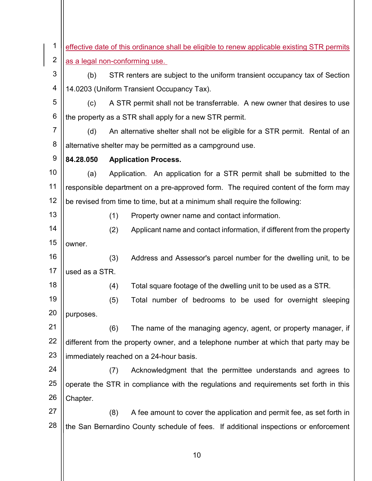1 2 3 4 5 6 7 8 9 10 11 12 13 14 15 16 17 18 19 20 21 22 23 24 25 26 27 28 effective date of this ordinance shall be eligible to renew applicable existing STR permits as a legal non-conforming use. (b) STR renters are subject to the uniform transient occupancy tax of Section 14.0203 (Uniform Transient Occupancy Tax). (c) A STR permit shall not be transferrable. A new owner that desires to use the property as a STR shall apply for a new STR permit. (d) An alternative shelter shall not be eligible for a STR permit. Rental of an alternative shelter may be permitted as a campground use. 84.28.050 Application Process. (a) Application. An application for a STR permit shall be submitted to the responsible department on a pre-approved form. The required content of the form may be revised from time to time, but at a minimum shall require the following: (1) Property owner name and contact information. (2) Applicant name and contact information, if different from the property owner. (3) Address and Assessor's parcel number for the dwelling unit, to be used as a STR. (4) Total square footage of the dwelling unit to be used as a STR. (5) Total number of bedrooms to be used for overnight sleeping purposes. (6) The name of the managing agency, agent, or property manager, if different from the property owner, and a telephone number at which that party may be immediately reached on a 24-hour basis. (7) Acknowledgment that the permittee understands and agrees to operate the STR in compliance with the regulations and requirements set forth in this Chapter. (8) A fee amount to cover the application and permit fee, as set forth in the San Bernardino County schedule of fees. If additional inspections or enforcement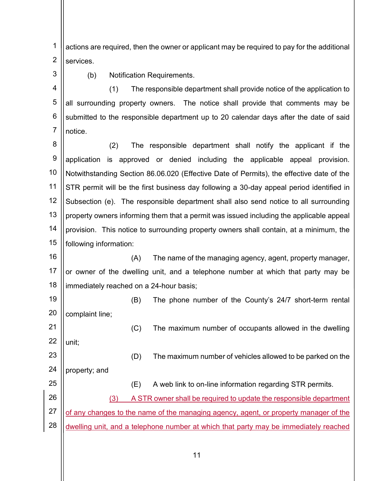1 2 actions are required, then the owner or applicant may be required to pay for the additional services.

3

(b) Notification Requirements.

4 5 6 7 (1) The responsible department shall provide notice of the application to all surrounding property owners. The notice shall provide that comments may be submitted to the responsible department up to 20 calendar days after the date of said notice.

8 9 10 11 12 13 14 15 (2) The responsible department shall notify the applicant if the application is approved or denied including the applicable appeal provision. Notwithstanding Section 86.06.020 (Effective Date of Permits), the effective date of the STR permit will be the first business day following a 30-day appeal period identified in Subsection (e). The responsible department shall also send notice to all surrounding property owners informing them that a permit was issued including the applicable appeal provision. This notice to surrounding property owners shall contain, at a minimum, the following information:

16 17 18 (A) The name of the managing agency, agent, property manager, or owner of the dwelling unit, and a telephone number at which that party may be immediately reached on a 24-hour basis;

19 20 (B) The phone number of the County's 24/7 short-term rental complaint line;

21 22 (C) The maximum number of occupants allowed in the dwelling unit;

23 (D) The maximum number of vehicles allowed to be parked on the

24 property; and

25

(E) A web link to on-line information regarding STR permits.

26 27 (3) A STR owner shall be required to update the responsible department of any changes to the name of the managing agency, agent, or property manager of the

28 dwelling unit, and a telephone number at which that party may be immediately reached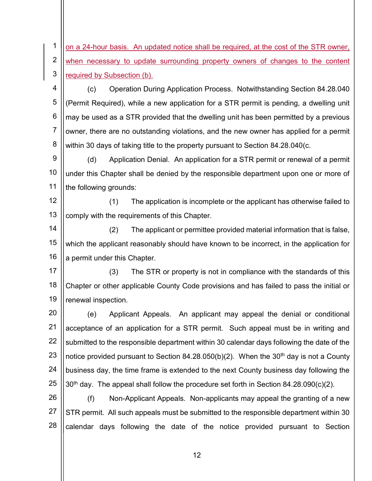1 2 3 on a 24-hour basis. An updated notice shall be required, at the cost of the STR owner, when necessary to update surrounding property owners of changes to the content required by Subsection (b).

4 5 6 7 8 (c) Operation During Application Process. Notwithstanding Section 84.28.040 (Permit Required), while a new application for a STR permit is pending, a dwelling unit may be used as a STR provided that the dwelling unit has been permitted by a previous owner, there are no outstanding violations, and the new owner has applied for a permit within 30 days of taking title to the property pursuant to Section 84.28.040(c.

9 10 11 (d) Application Denial. An application for a STR permit or renewal of a permit under this Chapter shall be denied by the responsible department upon one or more of the following grounds:

12 13 (1) The application is incomplete or the applicant has otherwise failed to comply with the requirements of this Chapter.

14 15 16 (2) The applicant or permittee provided material information that is false, which the applicant reasonably should have known to be incorrect, in the application for a permit under this Chapter.

17 18 19 (3) The STR or property is not in compliance with the standards of this Chapter or other applicable County Code provisions and has failed to pass the initial or renewal inspection.

20 21 22 23 24 25 (e) Applicant Appeals. An applicant may appeal the denial or conditional acceptance of an application for a STR permit. Such appeal must be in writing and submitted to the responsible department within 30 calendar days following the date of the notice provided pursuant to Section 84.28.050(b)(2). When the 30<sup>th</sup> day is not a County business day, the time frame is extended to the next County business day following the  $30<sup>th</sup>$  day. The appeal shall follow the procedure set forth in Section 84.28.090(c)(2).

26 27 28 (f) Non-Applicant Appeals. Non-applicants may appeal the granting of a new STR permit. All such appeals must be submitted to the responsible department within 30 calendar days following the date of the notice provided pursuant to Section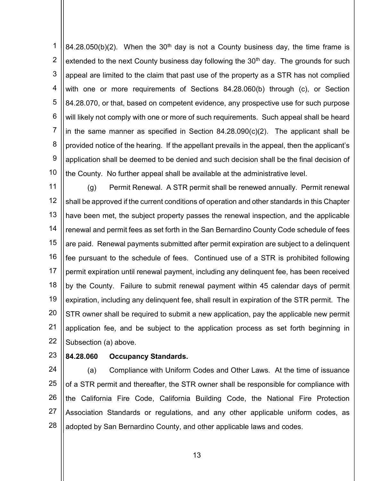1 2 3 4 5 6 7 8 9 10 84.28.050(b)(2). When the 30<sup>th</sup> day is not a County business day, the time frame is extended to the next County business day following the  $30<sup>th</sup>$  day. The grounds for such appeal are limited to the claim that past use of the property as a STR has not complied with one or more requirements of Sections 84.28.060(b) through (c), or Section 84.28.070, or that, based on competent evidence, any prospective use for such purpose will likely not comply with one or more of such requirements. Such appeal shall be heard in the same manner as specified in Section  $84.28.090(c)(2)$ . The applicant shall be provided notice of the hearing. If the appellant prevails in the appeal, then the applicant's application shall be deemed to be denied and such decision shall be the final decision of the County. No further appeal shall be available at the administrative level.

11 12 13 14 15 16 17 18 19 20 21 22 (g) Permit Renewal. A STR permit shall be renewed annually. Permit renewal shall be approved if the current conditions of operation and other standards in this Chapter have been met, the subject property passes the renewal inspection, and the applicable renewal and permit fees as set forth in the San Bernardino County Code schedule of fees are paid. Renewal payments submitted after permit expiration are subject to a delinquent fee pursuant to the schedule of fees. Continued use of a STR is prohibited following permit expiration until renewal payment, including any delinquent fee, has been received by the County. Failure to submit renewal payment within 45 calendar days of permit expiration, including any delinquent fee, shall result in expiration of the STR permit. The STR owner shall be required to submit a new application, pay the applicable new permit application fee, and be subject to the application process as set forth beginning in Subsection (a) above.

23 84.28.060 Occupancy Standards.

24 25 26 27 28 (a) Compliance with Uniform Codes and Other Laws. At the time of issuance of a STR permit and thereafter, the STR owner shall be responsible for compliance with the California Fire Code, California Building Code, the National Fire Protection Association Standards or regulations, and any other applicable uniform codes, as adopted by San Bernardino County, and other applicable laws and codes.

 $\parallel$  13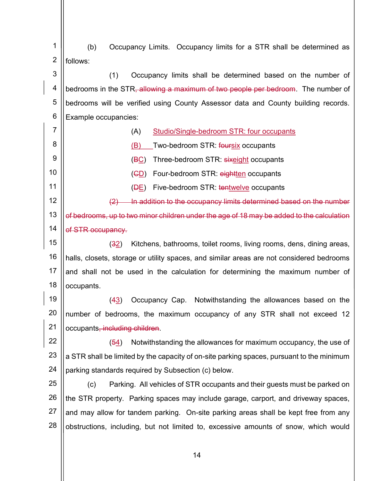1 2 (b) Occupancy Limits. Occupancy limits for a STR shall be determined as follows:

3 4 5 6 (1) Occupancy limits shall be determined based on the number of bedrooms in the STR<del>, allowing a maximum of two people per bedroom</del>. The number of bedrooms will be verified using County Assessor data and County building records. Example occupancies:

- (A) Studio/Single-bedroom STR: four occupants
- (B) Two-bedroom STR: foursix occupants

7

8

9

10

11

- (BC) Three-bedroom STR: sixeight occupants
- (CD) Four-bedroom STR: eightten occupants
- (DE) Five-bedroom STR: tentwelve occupants

12 13 14 (2) In addition to the occupancy limits determined based on the number of bedrooms, up to two minor children under the age of 18 may be added to the calculation of STR occupancy.

15 16 17 18 (32) Kitchens, bathrooms, toilet rooms, living rooms, dens, dining areas, halls, closets, storage or utility spaces, and similar areas are not considered bedrooms and shall not be used in the calculation for determining the maximum number of occupants.

19 20 21 (43) Occupancy Cap. Notwithstanding the allowances based on the number of bedrooms, the maximum occupancy of any STR shall not exceed 12 occupants, including children.

22 23 24 (54) Notwithstanding the allowances for maximum occupancy, the use of a STR shall be limited by the capacity of on-site parking spaces, pursuant to the minimum parking standards required by Subsection (c) below.

25 26 27 28 (c) Parking. All vehicles of STR occupants and their guests must be parked on the STR property. Parking spaces may include garage, carport, and driveway spaces, and may allow for tandem parking. On-site parking areas shall be kept free from any obstructions, including, but not limited to, excessive amounts of snow, which would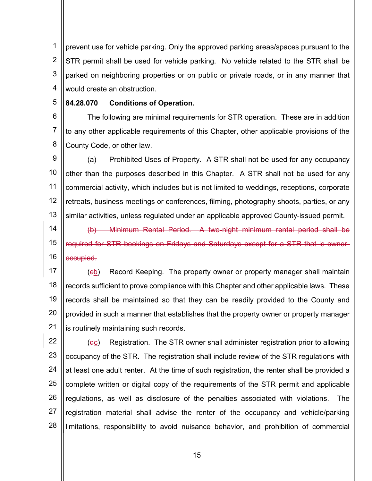1 2 3 4 prevent use for vehicle parking. Only the approved parking areas/spaces pursuant to the STR permit shall be used for vehicle parking. No vehicle related to the STR shall be parked on neighboring properties or on public or private roads, or in any manner that would create an obstruction.

#### 5 84.28.070 Conditions of Operation.

6 7 8 The following are minimal requirements for STR operation. These are in addition to any other applicable requirements of this Chapter, other applicable provisions of the County Code, or other law.

9 10 11 12 13 (a) Prohibited Uses of Property. A STR shall not be used for any occupancy other than the purposes described in this Chapter. A STR shall not be used for any commercial activity, which includes but is not limited to weddings, receptions, corporate retreats, business meetings or conferences, filming, photography shoots, parties, or any similar activities, unless regulated under an applicable approved County-issued permit.

14 15 16 (b) Minimum Rental Period. A two-night minimum rental period shall be required for STR bookings on Fridays and Saturdays except for a STR that is owneroccupied.

17 18 19 20 21 (cb) Record Keeping. The property owner or property manager shall maintain records sufficient to prove compliance with this Chapter and other applicable laws. These records shall be maintained so that they can be readily provided to the County and provided in such a manner that establishes that the property owner or property manager is routinely maintaining such records.

22 23 24 25 26 27 28  $(d<sub>C</sub>)$  Registration. The STR owner shall administer registration prior to allowing occupancy of the STR. The registration shall include review of the STR regulations with at least one adult renter. At the time of such registration, the renter shall be provided a complete written or digital copy of the requirements of the STR permit and applicable regulations, as well as disclosure of the penalties associated with violations. The registration material shall advise the renter of the occupancy and vehicle/parking limitations, responsibility to avoid nuisance behavior, and prohibition of commercial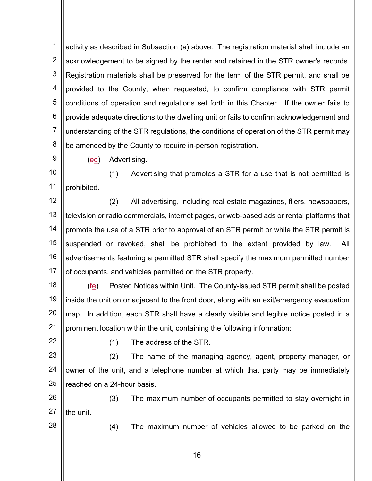1 2 3 4 5 6 7 8 activity as described in Subsection (a) above. The registration material shall include an acknowledgement to be signed by the renter and retained in the STR owner's records. Registration materials shall be preserved for the term of the STR permit, and shall be provided to the County, when requested, to confirm compliance with STR permit conditions of operation and regulations set forth in this Chapter. If the owner fails to provide adequate directions to the dwelling unit or fails to confirm acknowledgement and understanding of the STR regulations, the conditions of operation of the STR permit may be amended by the County to require in-person registration.

9

(ed) Advertising.

10 11 (1) Advertising that promotes a STR for a use that is not permitted is prohibited.

12 13 14 15 16 17 (2) All advertising, including real estate magazines, fliers, newspapers, television or radio commercials, internet pages, or web-based ads or rental platforms that promote the use of a STR prior to approval of an STR permit or while the STR permit is suspended or revoked, shall be prohibited to the extent provided by law. All advertisements featuring a permitted STR shall specify the maximum permitted number of occupants, and vehicles permitted on the STR property.

- 18 19 20 21 (fe) Posted Notices within Unit. The County-issued STR permit shall be posted inside the unit on or adjacent to the front door, along with an exit/emergency evacuation map. In addition, each STR shall have a clearly visible and legible notice posted in a prominent location within the unit, containing the following information:
- 22

(1) The address of the STR.

23 24 25 (2) The name of the managing agency, agent, property manager, or owner of the unit, and a telephone number at which that party may be immediately reached on a 24-hour basis.

26 27 (3) The maximum number of occupants permitted to stay overnight in the unit.

28

(4) The maximum number of vehicles allowed to be parked on the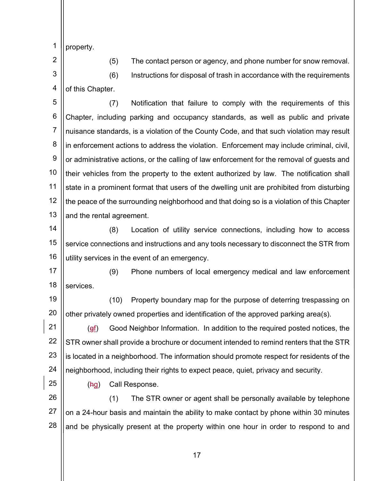1 property.

2 3

4

(5) The contact person or agency, and phone number for snow removal. (6) Instructions for disposal of trash in accordance with the requirements of this Chapter.

5 6 7 8 9 10 11 12 13 (7) Notification that failure to comply with the requirements of this Chapter, including parking and occupancy standards, as well as public and private nuisance standards, is a violation of the County Code, and that such violation may result in enforcement actions to address the violation. Enforcement may include criminal, civil, or administrative actions, or the calling of law enforcement for the removal of guests and their vehicles from the property to the extent authorized by law. The notification shall state in a prominent format that users of the dwelling unit are prohibited from disturbing the peace of the surrounding neighborhood and that doing so is a violation of this Chapter and the rental agreement.

14 15 16 (8) Location of utility service connections, including how to access service connections and instructions and any tools necessary to disconnect the STR from utility services in the event of an emergency.

17 18 (9) Phone numbers of local emergency medical and law enforcement services.

19 20 (10) Property boundary map for the purpose of deterring trespassing on other privately owned properties and identification of the approved parking area(s).

21 22 23 24 (gf) Good Neighbor Information. In addition to the required posted notices, the STR owner shall provide a brochure or document intended to remind renters that the STR is located in a neighborhood. The information should promote respect for residents of the neighborhood, including their rights to expect peace, quiet, privacy and security.

25

(hg) Call Response.

26 27 28 (1) The STR owner or agent shall be personally available by telephone on a 24-hour basis and maintain the ability to make contact by phone within 30 minutes and be physically present at the property within one hour in order to respond to and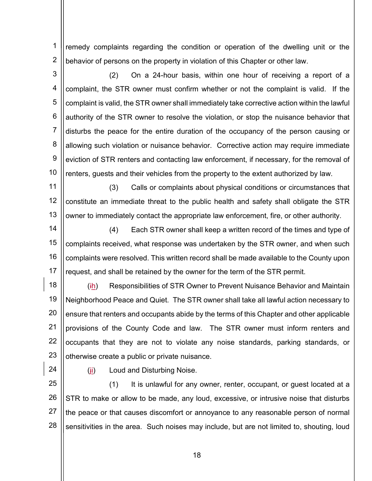1 2 remedy complaints regarding the condition or operation of the dwelling unit or the behavior of persons on the property in violation of this Chapter or other law.

3 4 5 6 7 8 9 10 (2) On a 24-hour basis, within one hour of receiving a report of a complaint, the STR owner must confirm whether or not the complaint is valid. If the complaint is valid, the STR owner shall immediately take corrective action within the lawful authority of the STR owner to resolve the violation, or stop the nuisance behavior that disturbs the peace for the entire duration of the occupancy of the person causing or allowing such violation or nuisance behavior. Corrective action may require immediate eviction of STR renters and contacting law enforcement, if necessary, for the removal of renters, guests and their vehicles from the property to the extent authorized by law.

11 12 13 (3) Calls or complaints about physical conditions or circumstances that constitute an immediate threat to the public health and safety shall obligate the STR owner to immediately contact the appropriate law enforcement, fire, or other authority.

14 15 16 17 (4) Each STR owner shall keep a written record of the times and type of complaints received, what response was undertaken by the STR owner, and when such complaints were resolved. This written record shall be made available to the County upon request, and shall be retained by the owner for the term of the STR permit.

18 19 20 21 22 23 (ih) Responsibilities of STR Owner to Prevent Nuisance Behavior and Maintain Neighborhood Peace and Quiet. The STR owner shall take all lawful action necessary to ensure that renters and occupants abide by the terms of this Chapter and other applicable provisions of the County Code and law. The STR owner must inform renters and occupants that they are not to violate any noise standards, parking standards, or otherwise create a public or private nuisance.

24

 $(i)$  Loud and Disturbing Noise.

25 26 27 28 (1) It is unlawful for any owner, renter, occupant, or guest located at a STR to make or allow to be made, any loud, excessive, or intrusive noise that disturbs the peace or that causes discomfort or annoyance to any reasonable person of normal sensitivities in the area. Such noises may include, but are not limited to, shouting, loud

and the contract of the contract of  $\vert$   $\vert$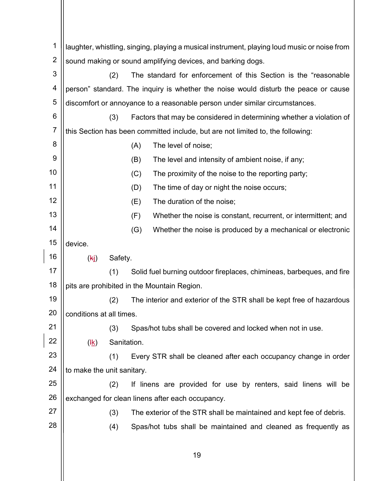| 1              | laughter, whistling, singing, playing a musical instrument, playing loud music or noise from |                                                                         |     |                                                                                     |
|----------------|----------------------------------------------------------------------------------------------|-------------------------------------------------------------------------|-----|-------------------------------------------------------------------------------------|
| $\overline{2}$ | sound making or sound amplifying devices, and barking dogs.                                  |                                                                         |     |                                                                                     |
| 3              |                                                                                              | The standard for enforcement of this Section is the "reasonable"<br>(2) |     |                                                                                     |
| 4              |                                                                                              |                                                                         |     | person" standard. The inquiry is whether the noise would disturb the peace or cause |
| 5              |                                                                                              |                                                                         |     | discomfort or annoyance to a reasonable person under similar circumstances.         |
| 6              |                                                                                              | (3)                                                                     |     | Factors that may be considered in determining whether a violation of                |
| $\overline{7}$ |                                                                                              |                                                                         |     | this Section has been committed include, but are not limited to, the following:     |
| 8              |                                                                                              |                                                                         | (A) | The level of noise;                                                                 |
| 9              |                                                                                              |                                                                         | (B) | The level and intensity of ambient noise, if any;                                   |
| 10             |                                                                                              |                                                                         | (C) | The proximity of the noise to the reporting party;                                  |
| 11             |                                                                                              |                                                                         | (D) | The time of day or night the noise occurs;                                          |
| 12             |                                                                                              |                                                                         | (E) | The duration of the noise;                                                          |
| 13             |                                                                                              |                                                                         | (F) | Whether the noise is constant, recurrent, or intermittent; and                      |
| 14             |                                                                                              |                                                                         | (G) | Whether the noise is produced by a mechanical or electronic                         |
| 15             | device.                                                                                      |                                                                         |     |                                                                                     |
| 16             | (kj)                                                                                         | Safety.                                                                 |     |                                                                                     |
| 17             |                                                                                              | (1)                                                                     |     | Solid fuel burning outdoor fireplaces, chimineas, barbeques, and fire               |
| 18             | pits are prohibited in the Mountain Region.                                                  |                                                                         |     |                                                                                     |
| 19             |                                                                                              | (2)                                                                     |     | The interior and exterior of the STR shall be kept free of hazardous                |
| 20             | conditions at all times.                                                                     |                                                                         |     |                                                                                     |
| 21             |                                                                                              | (3)                                                                     |     | Spas/hot tubs shall be covered and locked when not in use.                          |
| 22             | $(\frac{4k}{2})$                                                                             | Sanitation.                                                             |     |                                                                                     |
| 23             |                                                                                              | (1)                                                                     |     | Every STR shall be cleaned after each occupancy change in order                     |
| 24             | to make the unit sanitary.                                                                   |                                                                         |     |                                                                                     |
| 25             |                                                                                              | (2)                                                                     |     | If linens are provided for use by renters, said linens will be                      |
| 26             |                                                                                              |                                                                         |     | exchanged for clean linens after each occupancy.                                    |
| 27             |                                                                                              | (3)                                                                     |     | The exterior of the STR shall be maintained and kept fee of debris.                 |
| 28             |                                                                                              | (4)                                                                     |     | Spas/hot tubs shall be maintained and cleaned as frequently as                      |
|                |                                                                                              |                                                                         |     |                                                                                     |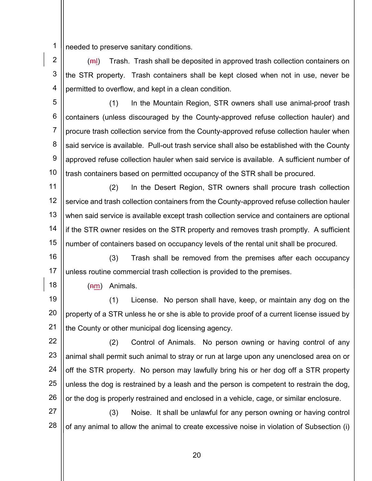1 needed to preserve sanitary conditions.

2 3 4 (ml) Trash. Trash shall be deposited in approved trash collection containers on the STR property. Trash containers shall be kept closed when not in use, never be permitted to overflow, and kept in a clean condition.

5 6 7 8 9 10 (1) In the Mountain Region, STR owners shall use animal-proof trash containers (unless discouraged by the County-approved refuse collection hauler) and procure trash collection service from the County-approved refuse collection hauler when said service is available. Pull-out trash service shall also be established with the County approved refuse collection hauler when said service is available. A sufficient number of trash containers based on permitted occupancy of the STR shall be procured.

11 12 13 14 15 (2) In the Desert Region, STR owners shall procure trash collection service and trash collection containers from the County-approved refuse collection hauler when said service is available except trash collection service and containers are optional if the STR owner resides on the STR property and removes trash promptly. A sufficient number of containers based on occupancy levels of the rental unit shall be procured.

16 17 (3) Trash shall be removed from the premises after each occupancy unless routine commercial trash collection is provided to the premises.

18

 $(nm)$  Animals.

19 20 21 (1) License. No person shall have, keep, or maintain any dog on the property of a STR unless he or she is able to provide proof of a current license issued by the County or other municipal dog licensing agency.

22 23 24 25 26 (2) Control of Animals. No person owning or having control of any animal shall permit such animal to stray or run at large upon any unenclosed area on or off the STR property. No person may lawfully bring his or her dog off a STR property unless the dog is restrained by a leash and the person is competent to restrain the dog, or the dog is properly restrained and enclosed in a vehicle, cage, or similar enclosure.

27 28 (3) Noise. It shall be unlawful for any person owning or having control of any animal to allow the animal to create excessive noise in violation of Subsection (i)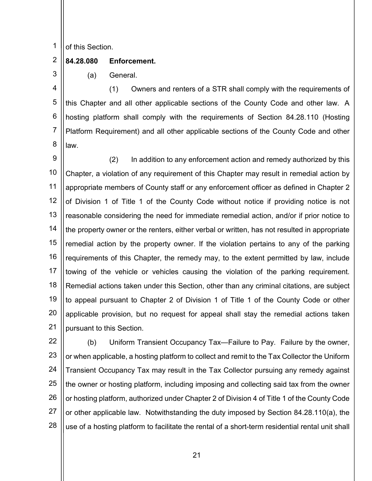1 of this Section.

### 2 84.28.080 Enforcement.

(a) General.

3

4 5 6 7 8 (1) Owners and renters of a STR shall comply with the requirements of this Chapter and all other applicable sections of the County Code and other law. A hosting platform shall comply with the requirements of Section 84.28.110 (Hosting Platform Requirement) and all other applicable sections of the County Code and other law.

9 10 11 12 13 14 15 16 17 18 19 20 21 (2) In addition to any enforcement action and remedy authorized by this Chapter, a violation of any requirement of this Chapter may result in remedial action by appropriate members of County staff or any enforcement officer as defined in Chapter 2 of Division 1 of Title 1 of the County Code without notice if providing notice is not reasonable considering the need for immediate remedial action, and/or if prior notice to the property owner or the renters, either verbal or written, has not resulted in appropriate remedial action by the property owner. If the violation pertains to any of the parking requirements of this Chapter, the remedy may, to the extent permitted by law, include towing of the vehicle or vehicles causing the violation of the parking requirement. Remedial actions taken under this Section, other than any criminal citations, are subject to appeal pursuant to Chapter 2 of Division 1 of Title 1 of the County Code or other applicable provision, but no request for appeal shall stay the remedial actions taken pursuant to this Section.

22 23 24 25 26 27 28 (b) Uniform Transient Occupancy Tax—Failure to Pay. Failure by the owner, or when applicable, a hosting platform to collect and remit to the Tax Collector the Uniform Transient Occupancy Tax may result in the Tax Collector pursuing any remedy against the owner or hosting platform, including imposing and collecting said tax from the owner or hosting platform, authorized under Chapter 2 of Division 4 of Title 1 of the County Code or other applicable law. Notwithstanding the duty imposed by Section 84.28.110(a), the use of a hosting platform to facilitate the rental of a short-term residential rental unit shall

and the contract of the contract of  $\sim$  21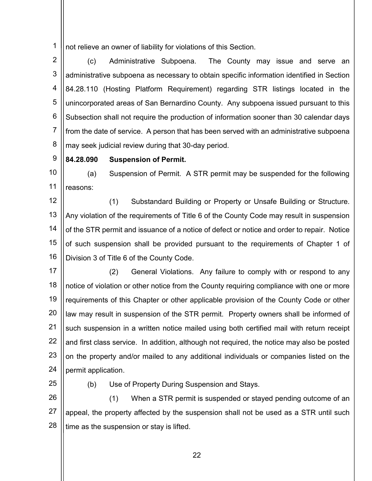1 not relieve an owner of liability for violations of this Section.

2 3 4 5 6 7 8 (c) Administrative Subpoena. The County may issue and serve an administrative subpoena as necessary to obtain specific information identified in Section 84.28.110 (Hosting Platform Requirement) regarding STR listings located in the unincorporated areas of San Bernardino County. Any subpoena issued pursuant to this Subsection shall not require the production of information sooner than 30 calendar days from the date of service. A person that has been served with an administrative subpoena may seek judicial review during that 30-day period.

9 84.28.090 Suspension of Permit.

10 11 (a) Suspension of Permit. A STR permit may be suspended for the following reasons:

12 13 14 15 16 (1) Substandard Building or Property or Unsafe Building or Structure. Any violation of the requirements of Title 6 of the County Code may result in suspension of the STR permit and issuance of a notice of defect or notice and order to repair. Notice of such suspension shall be provided pursuant to the requirements of Chapter 1 of Division 3 of Title 6 of the County Code.

17 18 19 20 21 22 23 24 (2) General Violations. Any failure to comply with or respond to any notice of violation or other notice from the County requiring compliance with one or more requirements of this Chapter or other applicable provision of the County Code or other law may result in suspension of the STR permit. Property owners shall be informed of such suspension in a written notice mailed using both certified mail with return receipt and first class service. In addition, although not required, the notice may also be posted on the property and/or mailed to any additional individuals or companies listed on the permit application.

25

(b) Use of Property During Suspension and Stays.

26 27 28 (1) When a STR permit is suspended or stayed pending outcome of an appeal, the property affected by the suspension shall not be used as a STR until such time as the suspension or stay is lifted.

and the contract of the contract of  $\sim$  22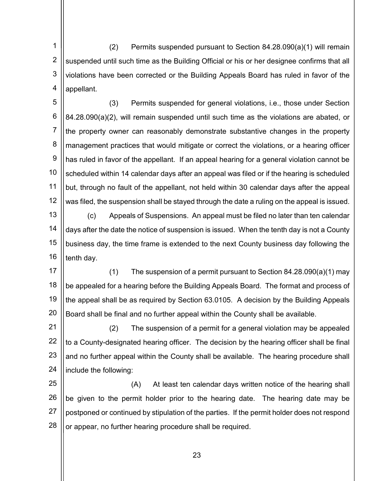1 2 3 4 (2) Permits suspended pursuant to Section 84.28.090(a)(1) will remain suspended until such time as the Building Official or his or her designee confirms that all violations have been corrected or the Building Appeals Board has ruled in favor of the appellant.

5 6 7 8 9 10 11 12 (3) Permits suspended for general violations, i.e., those under Section 84.28.090(a)(2), will remain suspended until such time as the violations are abated, or the property owner can reasonably demonstrate substantive changes in the property management practices that would mitigate or correct the violations, or a hearing officer has ruled in favor of the appellant. If an appeal hearing for a general violation cannot be scheduled within 14 calendar days after an appeal was filed or if the hearing is scheduled but, through no fault of the appellant, not held within 30 calendar days after the appeal was filed, the suspension shall be stayed through the date a ruling on the appeal is issued.

13 14 15 16 (c) Appeals of Suspensions. An appeal must be filed no later than ten calendar days after the date the notice of suspension is issued. When the tenth day is not a County business day, the time frame is extended to the next County business day following the tenth day.

17 18 19 20 (1) The suspension of a permit pursuant to Section  $84.28.090(a)(1)$  may be appealed for a hearing before the Building Appeals Board. The format and process of the appeal shall be as required by Section 63.0105. A decision by the Building Appeals Board shall be final and no further appeal within the County shall be available.

21 22 23 24 (2) The suspension of a permit for a general violation may be appealed to a County-designated hearing officer. The decision by the hearing officer shall be final and no further appeal within the County shall be available. The hearing procedure shall include the following:

25 26 27 28 (A) At least ten calendar days written notice of the hearing shall be given to the permit holder prior to the hearing date. The hearing date may be postponed or continued by stipulation of the parties. If the permit holder does not respond or appear, no further hearing procedure shall be required.

 $\parallel$  23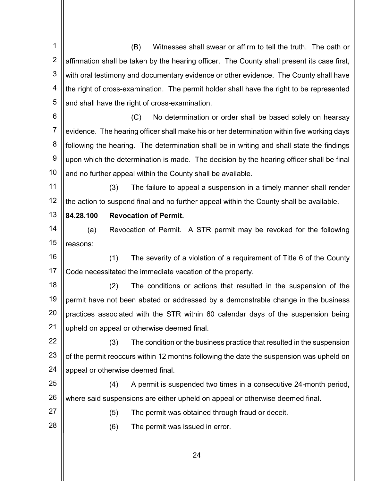1 2 3 4 5 6 7 8 9 10 11 12 13 14 15 16 17 18 19 20 21 22 23 24 25 26 27 28 (B) Witnesses shall swear or affirm to tell the truth. The oath or affirmation shall be taken by the hearing officer. The County shall present its case first, with oral testimony and documentary evidence or other evidence. The County shall have the right of cross-examination. The permit holder shall have the right to be represented and shall have the right of cross-examination. (C) No determination or order shall be based solely on hearsay evidence. The hearing officer shall make his or her determination within five working days following the hearing. The determination shall be in writing and shall state the findings upon which the determination is made. The decision by the hearing officer shall be final and no further appeal within the County shall be available. (3) The failure to appeal a suspension in a timely manner shall render the action to suspend final and no further appeal within the County shall be available. 84.28.100 Revocation of Permit. (a) Revocation of Permit. A STR permit may be revoked for the following reasons: (1) The severity of a violation of a requirement of Title 6 of the County Code necessitated the immediate vacation of the property. (2) The conditions or actions that resulted in the suspension of the permit have not been abated or addressed by a demonstrable change in the business practices associated with the STR within 60 calendar days of the suspension being upheld on appeal or otherwise deemed final. (3) The condition or the business practice that resulted in the suspension of the permit reoccurs within 12 months following the date the suspension was upheld on appeal or otherwise deemed final. (4) A permit is suspended two times in a consecutive 24-month period, where said suspensions are either upheld on appeal or otherwise deemed final. (5) The permit was obtained through fraud or deceit. (6) The permit was issued in error.

 $\parallel$  24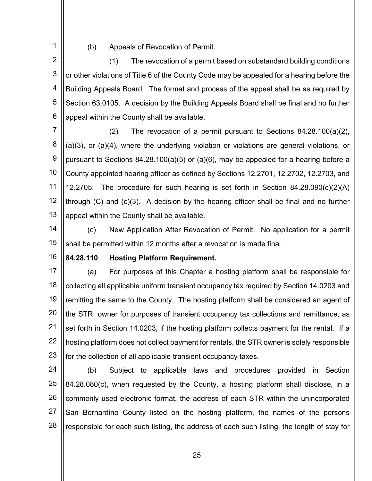(b) Appeals of Revocation of Permit.

2 3 4 5 6 (1) The revocation of a permit based on substandard building conditions or other violations of Title 6 of the County Code may be appealed for a hearing before the Building Appeals Board. The format and process of the appeal shall be as required by Section 63.0105. A decision by the Building Appeals Board shall be final and no further appeal within the County shall be available.

7 8 9 10 11 12 13 (2) The revocation of a permit pursuant to Sections 84.28.100(a)(2), (a)(3), or (a)(4), where the underlying violation or violations are general violations, or pursuant to Sections 84.28.100(a)(5) or (a)(6), may be appealed for a hearing before a County appointed hearing officer as defined by Sections 12.2701, 12.2702, 12.2703, and 12.2705. The procedure for such hearing is set forth in Section 84.28.090(c)(2)(A) through (C) and (c)(3). A decision by the hearing officer shall be final and no further appeal within the County shall be available.

14 15 (c) New Application After Revocation of Permit. No application for a permit shall be permitted within 12 months after a revocation is made final.

16

1

# 84.28.110 Hosting Platform Requirement.

17 18 19 20 21 22 23 (a) For purposes of this Chapter a hosting platform shall be responsible for collecting all applicable uniform transient occupancy tax required by Section 14.0203 and remitting the same to the County. The hosting platform shall be considered an agent of the STR owner for purposes of transient occupancy tax collections and remittance, as set forth in Section 14.0203, if the hosting platform collects payment for the rental. If a hosting platform does not collect payment for rentals, the STR owner is solely responsible for the collection of all applicable transient occupancy taxes.

24 25 26 27 28 (b) Subject to applicable laws and procedures provided in Section 84.28.080(c), when requested by the County, a hosting platform shall disclose, in a commonly used electronic format, the address of each STR within the unincorporated San Bernardino County listed on the hosting platform, the names of the persons responsible for each such listing, the address of each such listing, the length of stay for

and the contract of the contract of  $\sim$  25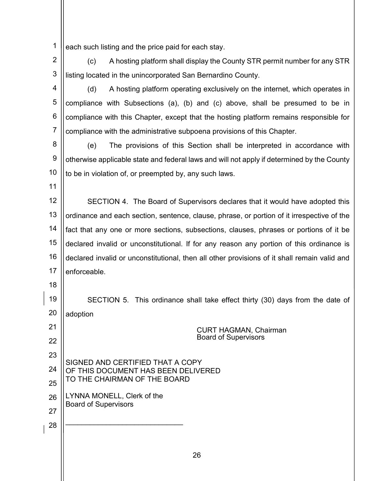1 each such listing and the price paid for each stay.

2 3 (c) A hosting platform shall display the County STR permit number for any STR listing located in the unincorporated San Bernardino County.

4 5 6 7 (d) A hosting platform operating exclusively on the internet, which operates in compliance with Subsections (a), (b) and (c) above, shall be presumed to be in compliance with this Chapter, except that the hosting platform remains responsible for compliance with the administrative subpoena provisions of this Chapter.

8 9 10 (e) The provisions of this Section shall be interpreted in accordance with otherwise applicable state and federal laws and will not apply if determined by the County to be in violation of, or preempted by, any such laws.

11

18

21

22

23

24

25

26

27

28

12 13 14 15 16 17 SECTION 4. The Board of Supervisors declares that it would have adopted this ordinance and each section, sentence, clause, phrase, or portion of it irrespective of the fact that any one or more sections, subsections, clauses, phrases or portions of it be declared invalid or unconstitutional. If for any reason any portion of this ordinance is declared invalid or unconstitutional, then all other provisions of it shall remain valid and enforceable.

19 20 SECTION 5. This ordinance shall take effect thirty (30) days from the date of adoption

 CURT HAGMAN, Chairman Board of Supervisors SIGNED AND CERTIFIED THAT A COPY OF THIS DOCUMENT HAS BEEN DELIVERED TO THE CHAIRMAN OF THE BOARD LYNNA MONELL, Clerk of the Board of Supervisors \_\_\_\_\_\_\_\_\_\_\_\_\_\_\_\_\_\_\_\_\_\_\_\_\_\_\_\_\_